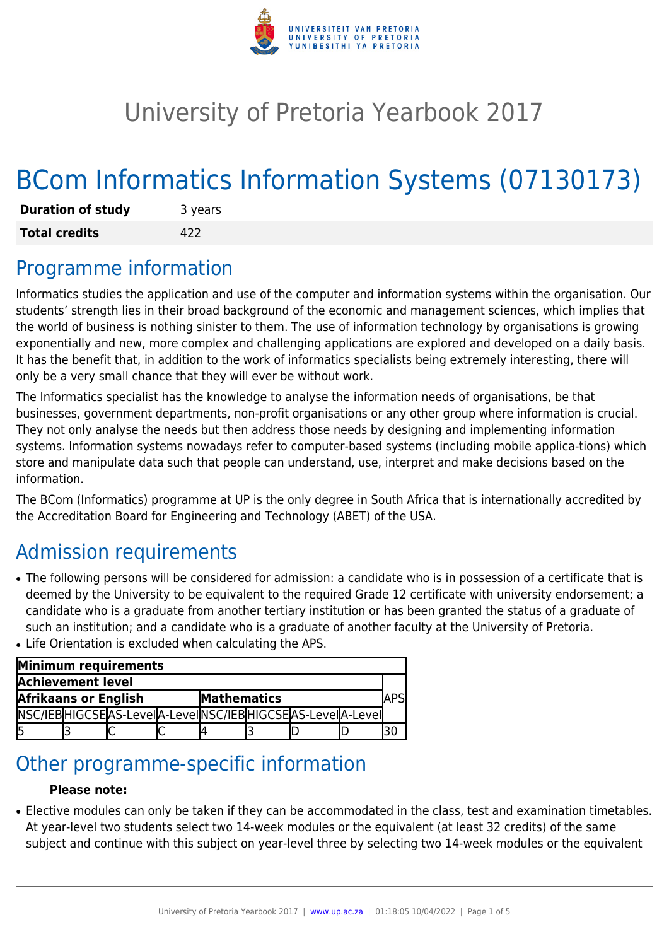

# University of Pretoria Yearbook 2017

# BCom Informatics Information Systems (07130173)

| <b>Duration of study</b> | 3 years |
|--------------------------|---------|
| <b>Total credits</b>     | 422     |

## Programme information

Informatics studies the application and use of the computer and information systems within the organisation. Our students' strength lies in their broad background of the economic and management sciences, which implies that the world of business is nothing sinister to them. The use of information technology by organisations is growing exponentially and new, more complex and challenging applications are explored and developed on a daily basis. It has the benefit that, in addition to the work of informatics specialists being extremely interesting, there will only be a very small chance that they will ever be without work.

The Informatics specialist has the knowledge to analyse the information needs of organisations, be that businesses, government departments, non-profit organisations or any other group where information is crucial. They not only analyse the needs but then address those needs by designing and implementing information systems. Information systems nowadays refer to computer-based systems (including mobile applica-tions) which store and manipulate data such that people can understand, use, interpret and make decisions based on the information.

The BCom (Informatics) programme at UP is the only degree in South Africa that is internationally accredited by the Accreditation Board for Engineering and Technology (ABET) of the USA.

# Admission requirements

- The following persons will be considered for admission: a candidate who is in possession of a certificate that is deemed by the University to be equivalent to the required Grade 12 certificate with university endorsement; a candidate who is a graduate from another tertiary institution or has been granted the status of a graduate of such an institution; and a candidate who is a graduate of another faculty at the University of Pretoria.
- Life Orientation is excluded when calculating the APS.

| Minimum requirements        |  |  |                    |  |  |                                                           |  |  |  |
|-----------------------------|--|--|--------------------|--|--|-----------------------------------------------------------|--|--|--|
| Achievement level           |  |  |                    |  |  |                                                           |  |  |  |
| <b>Afrikaans or English</b> |  |  | <b>Mathematics</b> |  |  | APS                                                       |  |  |  |
|                             |  |  |                    |  |  | NSC/IEBHIGCSEAS-LeveIA-LeveINSC/IEBHIGCSEAS-LeveIA-LeveII |  |  |  |
|                             |  |  |                    |  |  |                                                           |  |  |  |

## Other programme-specific information

#### **Please note:**

• Elective modules can only be taken if they can be accommodated in the class, test and examination timetables. At year-level two students select two 14-week modules or the equivalent (at least 32 credits) of the same subject and continue with this subject on year-level three by selecting two 14-week modules or the equivalent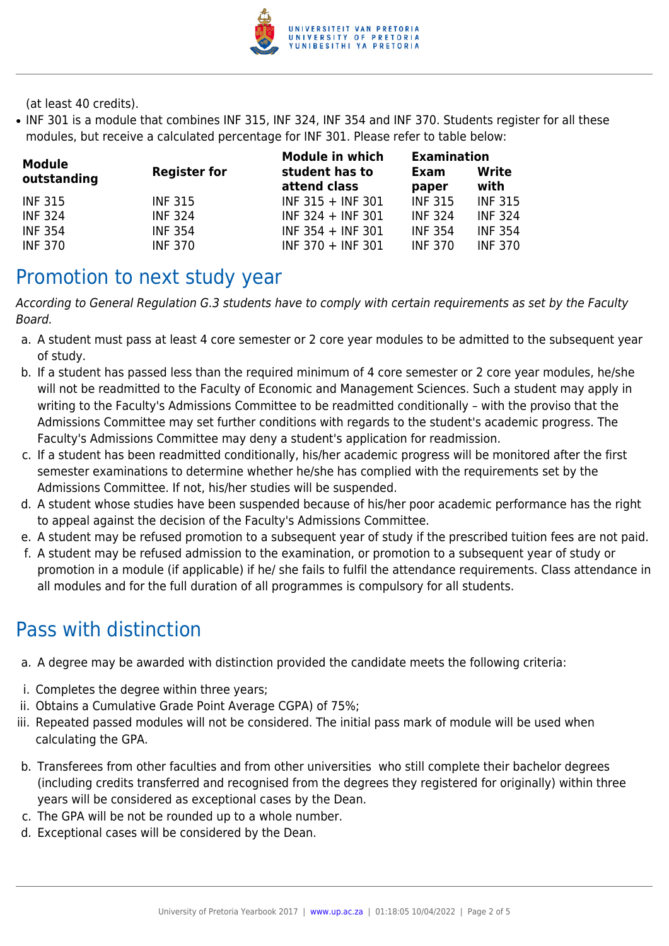

(at least 40 credits).

• INF 301 is a module that combines INF 315, INF 324, INF 354 and INF 370. Students register for all these modules, but receive a calculated percentage for INF 301. Please refer to table below:

| Module         |                     | <b>Module in which</b>         | <b>Examination</b>             |                |
|----------------|---------------------|--------------------------------|--------------------------------|----------------|
| outstanding    | <b>Register for</b> | student has to<br>attend class | Write<br>Exam<br>with<br>paper |                |
| <b>INF 315</b> | <b>INF 315</b>      | $INF 315 + INF 301$            | <b>INF 315</b>                 | <b>INF 315</b> |
| <b>INF 324</b> | <b>INF 324</b>      | $INF 324 + INF 301$            | <b>INF 324</b>                 | <b>INF 324</b> |
| <b>INF 354</b> | <b>INF 354</b>      | $INF 354 + INF 301$            | <b>INF 354</b>                 | <b>INF 354</b> |
| <b>INF 370</b> | <b>INF 370</b>      | $INF 370 + INF 301$            | <b>INF 370</b>                 | <b>INF 370</b> |

### Promotion to next study year

According to General Regulation G.3 students have to comply with certain requirements as set by the Faculty Board.

- a. A student must pass at least 4 core semester or 2 core year modules to be admitted to the subsequent year of study.
- b. If a student has passed less than the required minimum of 4 core semester or 2 core year modules, he/she will not be readmitted to the Faculty of Economic and Management Sciences. Such a student may apply in writing to the Faculty's Admissions Committee to be readmitted conditionally – with the proviso that the Admissions Committee may set further conditions with regards to the student's academic progress. The Faculty's Admissions Committee may deny a student's application for readmission.
- c. If a student has been readmitted conditionally, his/her academic progress will be monitored after the first semester examinations to determine whether he/she has complied with the requirements set by the Admissions Committee. If not, his/her studies will be suspended.
- d. A student whose studies have been suspended because of his/her poor academic performance has the right to appeal against the decision of the Faculty's Admissions Committee.
- e. A student may be refused promotion to a subsequent year of study if the prescribed tuition fees are not paid.
- f. A student may be refused admission to the examination, or promotion to a subsequent year of study or promotion in a module (if applicable) if he/ she fails to fulfil the attendance requirements. Class attendance in all modules and for the full duration of all programmes is compulsory for all students.

## Pass with distinction

- a. A degree may be awarded with distinction provided the candidate meets the following criteria:
- i. Completes the degree within three years;
- ii. Obtains a Cumulative Grade Point Average CGPA) of 75%;
- iii. Repeated passed modules will not be considered. The initial pass mark of module will be used when calculating the GPA.
- b. Transferees from other faculties and from other universities who still complete their bachelor degrees (including credits transferred and recognised from the degrees they registered for originally) within three years will be considered as exceptional cases by the Dean.
- c. The GPA will be not be rounded up to a whole number.
- d. Exceptional cases will be considered by the Dean.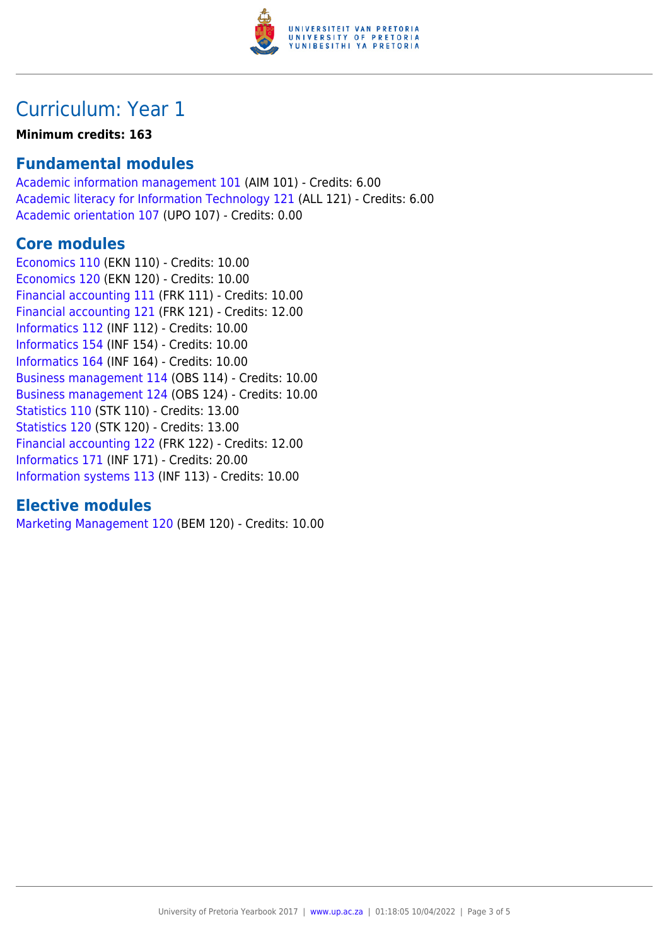

## Curriculum: Year 1

#### **Minimum credits: 163**

#### **Fundamental modules**

[Academic information management 101](https://www.up.ac.za/yearbooks/2017/modules/view/AIM 101) (AIM 101) - Credits: 6.00 [Academic literacy for Information Technology 121](https://www.up.ac.za/yearbooks/2017/modules/view/ALL 121) (ALL 121) - Credits: 6.00 [Academic orientation 107](https://www.up.ac.za/yearbooks/2017/modules/view/UPO 107) (UPO 107) - Credits: 0.00

#### **Core modules**

[Economics 110](https://www.up.ac.za/yearbooks/2017/modules/view/EKN 110) (EKN 110) - Credits: 10.00 [Economics 120](https://www.up.ac.za/yearbooks/2017/modules/view/EKN 120) (EKN 120) - Credits: 10.00 [Financial accounting 111](https://www.up.ac.za/yearbooks/2017/modules/view/FRK 111) (FRK 111) - Credits: 10.00 [Financial accounting 121](https://www.up.ac.za/yearbooks/2017/modules/view/FRK 121) (FRK 121) - Credits: 12.00 [Informatics 112](https://www.up.ac.za/yearbooks/2017/modules/view/INF 112) (INF 112) - Credits: 10.00 [Informatics 154](https://www.up.ac.za/yearbooks/2017/modules/view/INF 154) (INF 154) - Credits: 10.00 [Informatics 164](https://www.up.ac.za/yearbooks/2017/modules/view/INF 164) (INF 164) - Credits: 10.00 [Business management 114](https://www.up.ac.za/yearbooks/2017/modules/view/OBS 114) (OBS 114) - Credits: 10.00 [Business management 124](https://www.up.ac.za/yearbooks/2017/modules/view/OBS 124) (OBS 124) - Credits: 10.00 [Statistics 110](https://www.up.ac.za/yearbooks/2017/modules/view/STK 110) (STK 110) - Credits: 13.00 [Statistics 120](https://www.up.ac.za/yearbooks/2017/modules/view/STK 120) (STK 120) - Credits: 13.00 [Financial accounting 122](https://www.up.ac.za/yearbooks/2017/modules/view/FRK 122) (FRK 122) - Credits: 12.00 [Informatics 171](https://www.up.ac.za/yearbooks/2017/modules/view/INF 171) (INF 171) - Credits: 20.00 [Information systems 113](https://www.up.ac.za/yearbooks/2017/modules/view/INF 113) (INF 113) - Credits: 10.00

#### **Elective modules**

[Marketing Management 120](https://www.up.ac.za/yearbooks/2017/modules/view/BEM 120) (BEM 120) - Credits: 10.00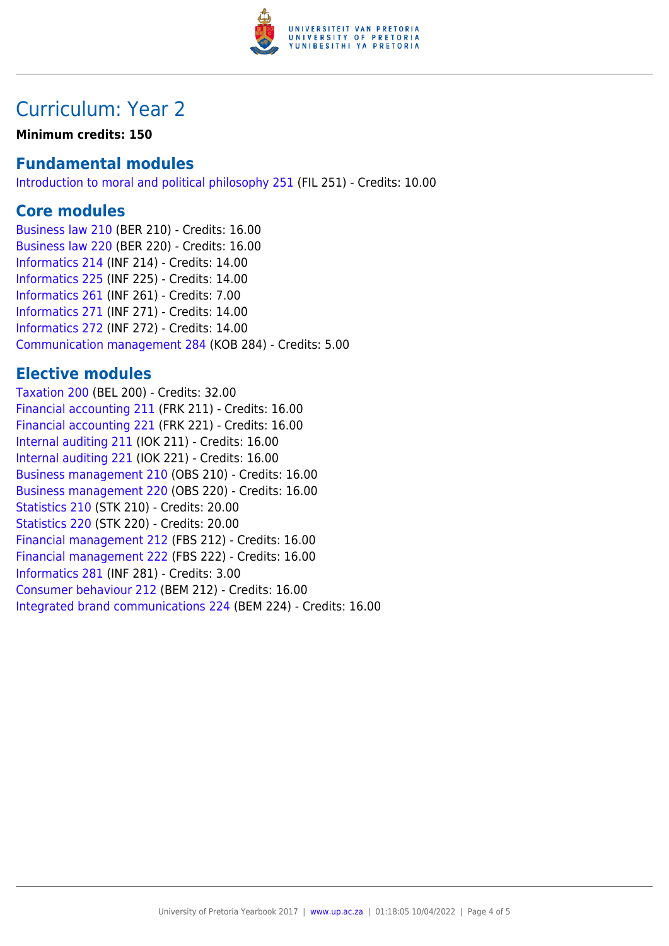

### Curriculum: Year 2

**Minimum credits: 150**

#### **Fundamental modules**

[Introduction to moral and political philosophy 251](https://www.up.ac.za/yearbooks/2017/modules/view/FIL 251) (FIL 251) - Credits: 10.00

#### **Core modules**

[Business law 210](https://www.up.ac.za/yearbooks/2017/modules/view/BER 210) (BER 210) - Credits: 16.00 [Business law 220](https://www.up.ac.za/yearbooks/2017/modules/view/BER 220) (BER 220) - Credits: 16.00 [Informatics 214](https://www.up.ac.za/yearbooks/2017/modules/view/INF 214) (INF 214) - Credits: 14.00 [Informatics 225](https://www.up.ac.za/yearbooks/2017/modules/view/INF 225) (INF 225) - Credits: 14.00 [Informatics 261](https://www.up.ac.za/yearbooks/2017/modules/view/INF 261) (INF 261) - Credits: 7.00 [Informatics 271](https://www.up.ac.za/yearbooks/2017/modules/view/INF 271) (INF 271) - Credits: 14.00 [Informatics 272](https://www.up.ac.za/yearbooks/2017/modules/view/INF 272) (INF 272) - Credits: 14.00 [Communication management 284](https://www.up.ac.za/yearbooks/2017/modules/view/KOB 284) (KOB 284) - Credits: 5.00

#### **Elective modules**

[Taxation 200](https://www.up.ac.za/yearbooks/2017/modules/view/BEL 200) (BEL 200) - Credits: 32.00 [Financial accounting 211](https://www.up.ac.za/yearbooks/2017/modules/view/FRK 211) (FRK 211) - Credits: 16.00 [Financial accounting 221](https://www.up.ac.za/yearbooks/2017/modules/view/FRK 221) (FRK 221) - Credits: 16.00 [Internal auditing 211](https://www.up.ac.za/yearbooks/2017/modules/view/IOK 211) (IOK 211) - Credits: 16.00 [Internal auditing 221](https://www.up.ac.za/yearbooks/2017/modules/view/IOK 221) (IOK 221) - Credits: 16.00 [Business management 210](https://www.up.ac.za/yearbooks/2017/modules/view/OBS 210) (OBS 210) - Credits: 16.00 [Business management 220](https://www.up.ac.za/yearbooks/2017/modules/view/OBS 220) (OBS 220) - Credits: 16.00 [Statistics 210](https://www.up.ac.za/yearbooks/2017/modules/view/STK 210) (STK 210) - Credits: 20.00 [Statistics 220](https://www.up.ac.za/yearbooks/2017/modules/view/STK 220) (STK 220) - Credits: 20.00 [Financial management 212](https://www.up.ac.za/yearbooks/2017/modules/view/FBS 212) (FBS 212) - Credits: 16.00 [Financial management 222](https://www.up.ac.za/yearbooks/2017/modules/view/FBS 222) (FBS 222) - Credits: 16.00 [Informatics 281](https://www.up.ac.za/yearbooks/2017/modules/view/INF 281) (INF 281) - Credits: 3.00 [Consumer behaviour 212](https://www.up.ac.za/yearbooks/2017/modules/view/BEM 212) (BEM 212) - Credits: 16.00 [Integrated brand communications 224](https://www.up.ac.za/yearbooks/2017/modules/view/BEM 224) (BEM 224) - Credits: 16.00